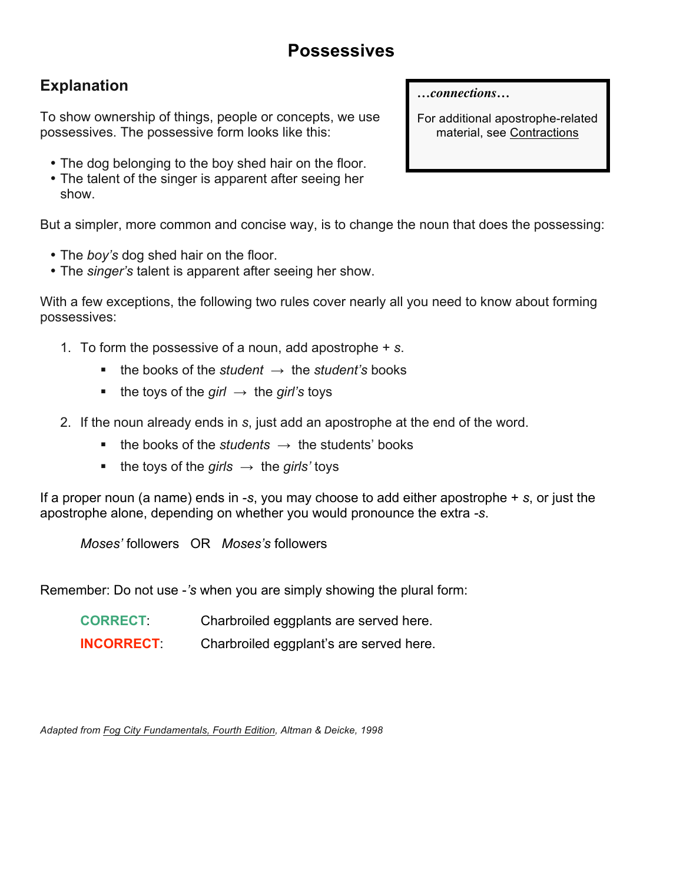# **Possessives**

## **Explanation**

To show ownership of things, people or concepts, we use possessives. The possessive form looks like this:

- The dog belonging to the boy shed hair on the floor.
- The talent of the singer is apparent after seeing her show.

But a simpler, more common and concise way, is to change the noun that does the possessing:

- The *boy's* dog shed hair on the floor.
- The *singer's* talent is apparent after seeing her show.

With a few exceptions, the following two rules cover nearly all you need to know about forming possessives:

- 1. To form the possessive of a noun, add apostrophe + *s*.
	- the books of the *student*  $\rightarrow$  the *student's* books
	- the toys of the *girl*  $\rightarrow$  the *girl's* toys
- 2. If the noun already ends in *s*, just add an apostrophe at the end of the word.
	- **the books of the** *students*  $\rightarrow$  the students' books
	- the toys of the *girls*  $\rightarrow$  the *girls'* toys

If a proper noun (a name) ends in -*s*, you may choose to add either apostrophe + *s*, or just the apostrophe alone, depending on whether you would pronounce the extra *-s*.

*Moses'* followers OR *Moses's* followers

Remember: Do not use -*'s* when you are simply showing the plural form:

| <b>CORRECT:</b> | Charbroiled eggplants are served here. |
|-----------------|----------------------------------------|
|                 |                                        |

**INCORRECT**: Charbroiled eggplant's are served here.

*Adapted from Fog City Fundamentals, Fourth Edition, Altman & Deicke, 1998*

*…connections…*

For additional apostrophe-related material, see Contractions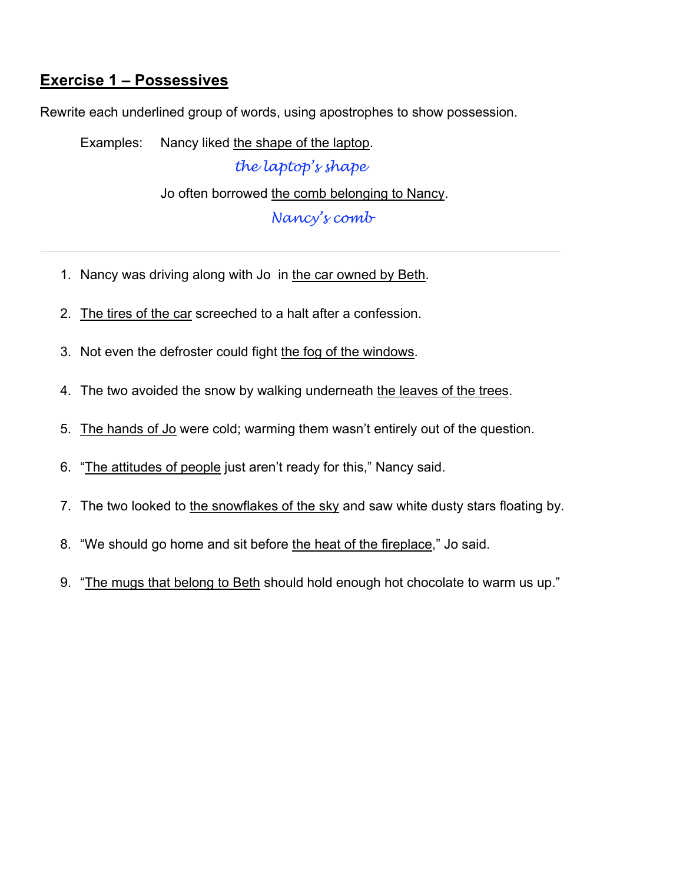#### **Exercise 1 – Possessives**

Rewrite each underlined group of words, using apostrophes to show possession.

Examples: Nancy liked the shape of the laptop.

*the laptop's shape*

Jo often borrowed the comb belonging to Nancy.

*Nancy's comb*

- 1. Nancy was driving along with Jo in the car owned by Beth.
- 2. The tires of the car screeched to a halt after a confession.
- 3. Not even the defroster could fight the fog of the windows.
- 4. The two avoided the snow by walking underneath the leaves of the trees.
- 5. The hands of Jo were cold; warming them wasn't entirely out of the question.
- 6. "The attitudes of people just aren't ready for this," Nancy said.
- 7. The two looked to the snowflakes of the sky and saw white dusty stars floating by.
- 8. "We should go home and sit before the heat of the fireplace," Jo said.
- 9. "The mugs that belong to Beth should hold enough hot chocolate to warm us up."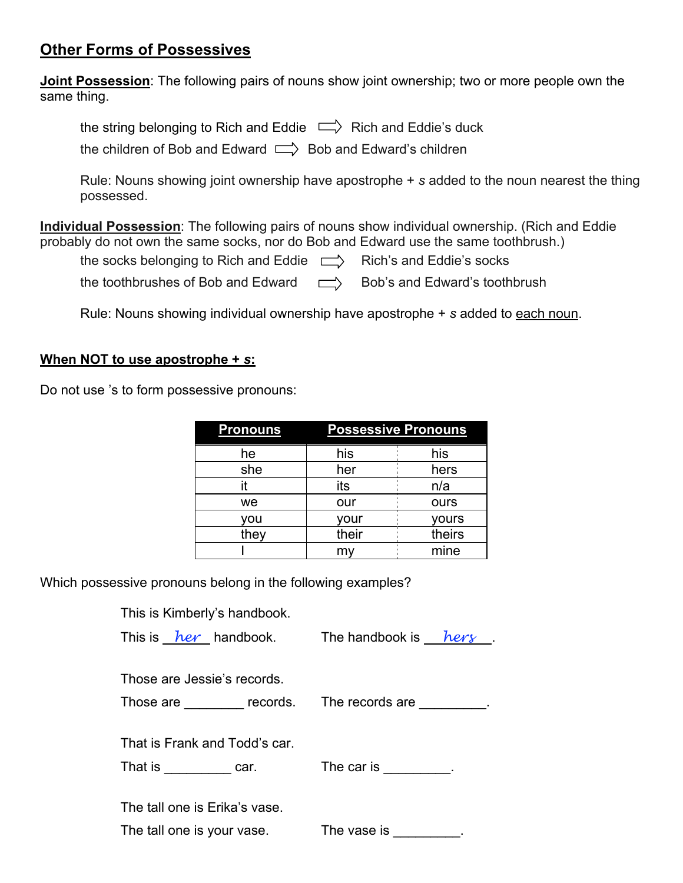#### **Other Forms of Possessives**

**Joint Possession**: The following pairs of nouns show joint ownership; two or more people own the same thing.

the string belonging to Rich and Eddie  $\Box$  Rich and Eddie's duck

the children of Bob and Edward  $\Rightarrow$  Bob and Edward's children

Rule: Nouns showing joint ownership have apostrophe + *s* added to the noun nearest the thing possessed.

**Individual Possession**: The following pairs of nouns show individual ownership. (Rich and Eddie probably do not own the same socks, nor do Bob and Edward use the same toothbrush.)

the socks belonging to Rich and Eddie  $\Box$  Rich's and Eddie's socks

the toothbrushes of Bob and Edward  $\Box$  Bob's and Edward's toothbrush

Rule: Nouns showing individual ownership have apostrophe + *s* added to each noun.

#### **When NOT to use apostrophe +** *s***:**

Do not use 's to form possessive pronouns:

| <b>Pronouns</b> | <b>Possessive Pronouns</b> |        |  |
|-----------------|----------------------------|--------|--|
| he              | his                        | his    |  |
| she             | her                        | hers   |  |
| it              | its                        | n/a    |  |
| we              | our                        | ours   |  |
| vou             | your                       | yours  |  |
| they            | their                      | theirs |  |
|                 |                            | mine   |  |

Which possessive pronouns belong in the following examples?

This is Kimberly's handbook.

| This is <i>her</i> handbook. The handbook is <i>hery</i> |  |                                                  |  |  |  |  |  |
|----------------------------------------------------------|--|--------------------------------------------------|--|--|--|--|--|
| Those are Jessie's records.                              |  |                                                  |  |  |  |  |  |
| Those are _________ records. The records are _________.  |  |                                                  |  |  |  |  |  |
| That is Frank and Todd's car.                            |  |                                                  |  |  |  |  |  |
| That is car.                                             |  | The car is $\frac{1}{\sqrt{1-\frac{1}{2}}}\cdot$ |  |  |  |  |  |
| The tall one is Erika's vase.                            |  |                                                  |  |  |  |  |  |
| The tall one is your vase.                               |  | The vase is                                      |  |  |  |  |  |